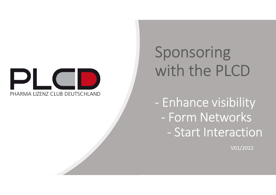

# Sponsoring Sponsoring<br>with the PLCD<br>Formal property

Sponsoring<br>
with the PLCD<br>
- Enhance visibility<br>
- Form Networks<br>
Start Interaction With the PLCD<br>- Enhance visibility<br>- Form Networks<br>- Start Interaction Form Interaction<br>
Form Networks<br>
- Start Interaction<br>
- Start Interaction<br>
- Start Interaction

V01/2022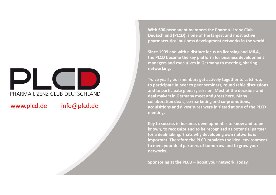# With 600 p<br>
With 600 p<br>
Deutschlar<br>
pharmaceus<br>
Since 1999<br>
the PLOD b<br>
managers<br>
since 1999<br>
the PLOD b<br>
managers<br>
strever to participate<br>
and to participate<br>
and to participate<br>
and to participate<br>
collaborati<br>
collabora

With 600 permanent members the Pharma-Lizenz-Club<br>Deutschland (PLCD) is one of the largest and most active<br>pharmaceutical business development networks in the world.<br>Since 1999 and with a distinct focus on licensing and M& With 600 permanent members the Pharma-Lizenz-Club<br>Deutschland (PLCD) is one of the largest and most active<br>pharmaceutical business development networks in the world.<br>Since 1999 and with a distinct focus on licensing and M&

With 600 permanent members the Pharma-Lizenz-Club<br>Deutschland (PLCD) is one of the largest and most active<br>pharmaceutical business development networks in the world.<br>Since 1999 and with a distinct focus on licensing and M& With 600 permanent members the Pharma-Lizenz-Club<br>Deutschland (PLCD) is one of the largest and most active<br>pharmaceutical business development networks in the world.<br>Since 1999 and with a distinct focus on licensing and M& With 600 permanent members the Pharma-Lizenz-Club<br>Deutschland (PLCD) is one of the largest and most active<br>pharmaceutical business development networks in the world.<br>Since 1999 and with a distinct focus on licensing and M& With 600 permanent members the Pharma-Lizenz-Club<br>Deutschland (PLCD) is one of the largest and most active<br>pharmaceutical business development networks in the world.<br>Since 1999 and with a distinct focus on licensing and M& networking.

With 600 permanent members the Pharma-Lizenz-Club<br>Deutschland (PLCD) is one of the largest and most active<br>pharmaceutical business development networks in the world.<br>Since 1999 and with a distinct focus on licensing and M& With 600 permanent members the Pharma-Lizenz-Club<br>Deutschland (PLCD) is one of the largest and most active<br>pharmaceutical business development networks in the world.<br>Since 1999 and with a distinct focus on licensing and M& With 600 permanent members the Pharma-Lizenz-Club<br>Deutschland (PLCD) is one of the largest and most active<br>pharmaceutical business development networks in the world.<br>Since 1999 and with a distinct focus on licensing and M& With 600 permanent members the Pharma-Lizenz-Club<br>Deutschland (PLCD) is one of the largest and most active<br>pharmaceutical business development networks in the world.<br>Since 1999 and with a distinct focus on licensing and M& With 600 permanent members the Pharma-Lizenz-Club<br>Deutschland (PLCD) is one of the largest and most active<br>pharmaceutical business development networks in the world.<br>Since 1999 and with a distinct focus on licensing and M& With 600 permanent members the Pharma-Lizenz-Club<br>Deutschland (PLCD) is one of the largest and most active<br>pharmaceutical business development networks in the world.<br>Since 1999 and with a distinct focus on licensing and M& meeting. pharmaceatical business development inctworks in the world.<br>Since 1999 and with a distinct focus on licensing and M&A,<br>the PLCD became the key platform for business development<br>managers and executives in Germany to meeting Since 1999 and with a distinct focus on licensing and M&A,<br>the PLCD became the key platform for business development<br>managers and executives in Germany to meeting, sharing<br>networking.<br>Twice yearly our members get actively since 1250 and with a distinct foces on incertioning data class.<br>The PLCD became the key platform for business development<br>managers and executives in Germany to meeting, sharing<br>networking.<br>Twice yearly our members get act ince incertion the very plation in the basiness acceleptine.<br>
In analgers and executives in Germany to meeting, sharing<br>
Twice yearly our members get actively together to catch-up,<br>
to participate in peer to peer seminars, managers and executives in derinary to meeting, sharing<br>networking.<br>Twice yearly our members get actively together to catch-up,<br>to participate in peer to peer seminars, round table discussions<br>and to participate plenary se Form of the members get activery regentive to earthy or members and to participate in peer to peer seminars, round table discussions and to participate plenary session. Most of the decision- and deal makers in Germany meet

networks.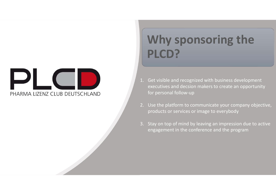

### Why sponsoring the PLCD? Why sponsoring the Why sponsoring the<br>PLCD?<br>Set visible and recognized with business development<br>executives and decsion makers to create an opportunity<br>for personal follow-up<br>Use the platform to communicate your company objective,<br>products o **Why sponsoring the CDP**<br> **PLCDP**<br> **EXECUPP**<br> **EXECUPP**<br> **EXECUPP**<br> **EXECUPPP**<br> **EXECUTEDPP**<br> **EXECUTEDPPP**<br> **EXECUTEDPPP**<br> **EXECUTEDPPERENT OF PERSONAL FORMAL FORMAL FORMAL FORMATION**<br>
2. Use the platform to communicate y Why sponsoring the<br>
PLCD?<br>
2. Get visible and recognized with business development<br>
executives and decsion makers to create an opportunity<br>
for personal follow-up<br>
2. Use the platform to communicate your company objective, Why Sponsoring the<br>PICD?<br>Get visible and recognized with business development<br>executives and decsion makers to create an opportunity<br>for personal follow-up<br>Use the platform to communicate your company objective,<br>products o

- **3.** Stay on top of mind by leaving an impression due to active engagement in the conference and poportunity for personal follow-up<br>3. Use the platform to communicate your company objective, products or services or image t examples and recognized with business development<br>executives and decsion makers to create an opportunity<br>for personal follow-up<br>Use the platform to communicate your company objective,<br>products or services or image to every
- 
-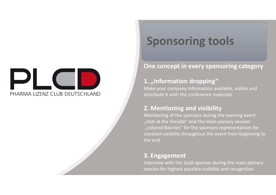## PHARMA LIZENZ CLUB DEUTSCHLAND

#### Sponsoring tools

#### One concept in every sponsoring category

#### 1. "Information dropping"

**Sponsoring tools<br>
Sponsoring tools**<br>
One concept in every sponsoring category<br>
1. "Information dropping"<br>
Make your company information available, visible and<br>
distribute it with the conference materials<br>
2. Mentioning an **Sponsoring tools**<br>
One concept in every sponsoring category<br>
1. "Information dropping"<br>
Make your company information available, visible and<br>
distribute it with the conference materials<br>
2. Mentioning and visibility<br>
Ment

**Sponsoring tools**<br> **Sponsoring category**<br> **1. "Information dropping"**<br>
Make your company information available, visible and<br>
distribute it with the conference materials<br> **2. Mentioning and visibility**<br>
Mentioning of the s **Sponsoring tools**<br>
One concept in every sponsoring category<br>
1. "Information dropping"<br>
Make your company information available, visible and<br>
distribute it with the conference materials<br>
2. Mentioning and visibility<br>
Ment **SPOOTES THES TOOTS**<br>
One concept in every sponsoring category<br>
1. "Information dropping"<br>
Make your company information available, visible and<br>
distribute it with the conference materials<br>
2. Mentioning and visibility<br>
Me **One concept in every sponsoring category**<br> **1. "Information dropping"**<br>
Make your company information available, visible and<br>
distribute it with the conference materials<br> **2. Mentioning and visibility**<br>
Mentioning of the **One concept in every sponsoring category**<br> **1.** "Information dropping"<br>
Make your company information available, visible and<br>
distribute it with the conference materials<br> **2. Mentioning and visibility**<br>
Mentioning of the **One concept in every sponsoring categor<br>
1. "Information dropping"<br>
Make your company information available, visible and<br>
distribute it with the conference materials<br>
2. Mentioning and visibility<br>
Mentioning of the sponso 1. "Information dropping"**<br>
Make your company information available, visible and<br>
distribute it with the conference materials<br> **2. Mentioning and visibility**<br>
Mentioning of the sponsors during the evening event<br>
"chat at **I. "Information dropping**<br>Make your company information available, visible and<br>distribute it with the conference materials<br>**2. Mentioning and visibility**<br>Mentioning of the sponsors during the evening event<br>"chat at the fi Make your company information available, visible and<br>distribute it with the conference materials<br>2. Mentioning of the sponsors during the evening event<br>"chat at the fireside" and the main planary session<br>"colored Batches"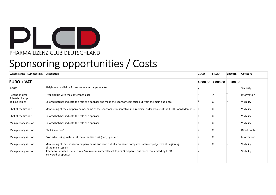

#### Sponsoring opportunities / Costs

| $\mathbf{D}$ l<br>PHARMA LIZENZ CLUB DEUTSCHLAND<br>Sponsoring opportunities / Costs |                                                                                                                                    |              |                   |                           |                |
|--------------------------------------------------------------------------------------|------------------------------------------------------------------------------------------------------------------------------------|--------------|-------------------|---------------------------|----------------|
| Where at the PLCD meeting? Description                                               |                                                                                                                                    | GOLD         | <b>SILVER</b>     | <b>BRONZE</b>             | Objective      |
| <b>EURO + VAT</b>                                                                    |                                                                                                                                    |              | 4.000,00 2.000,00 | 500,00                    |                |
| Booth                                                                                | Heightened visibility. Exposure to your target market                                                                              | х            |                   |                           | Visibility     |
| Reception desk<br>& batch pick up                                                    | Flyer pick up with the conference pack                                                                                             | X            | X                 | X                         | Information    |
| <b>Talking Tables</b>                                                                | Colored batches indicate the role as a sponsor and make the sponsor team stick out from the main audience                          | 1X           | ΙX.               | $\boldsymbol{\mathsf{X}}$ | Visibility     |
| Chat at the fireside                                                                 | Mentioning of the company name, name of the sponsors representative in hirarchical order by one of the PLCD Board Members X        |              | <b>x</b>          | $\mathsf{X}$              | Visibility     |
| Chat at the fireside                                                                 | Colored batches indicate the role as a sponsor                                                                                     |              | $\mathsf{x}$      | $\mathsf{X}$              | Visibility     |
| Main plenary session                                                                 | Colored batches indicate the role as a sponsor                                                                                     | X            | $\mathbf x$       | $\mathsf{X}$              | Visibility     |
| Main plenary session                                                                 | "Talk 2 me box"                                                                                                                    | X            | $\mathsf{x}$      |                           | Direct contact |
| Main plenary session                                                                 | Drop advertising material at the attendies desk (pen, flyer, etc.)                                                                 | $\mathsf{X}$ | IX.               |                           | Information    |
|                                                                                      | Mentioning of the sponsors company name and read out of a prepared company statement/objective at beginning<br>of the main session | $\mathsf{X}$ | <b>x</b>          | $\boldsymbol{\mathsf{X}}$ | Visibility     |
| Main plenary session                                                                 |                                                                                                                                    | X            |                   |                           | Visibility     |
| Main plenary session                                                                 | Interview between the lectures; 5 min re industry relevant topics; 3 prepared questions moderated by PLCD,<br>answered by sponsor  |              |                   |                           |                |